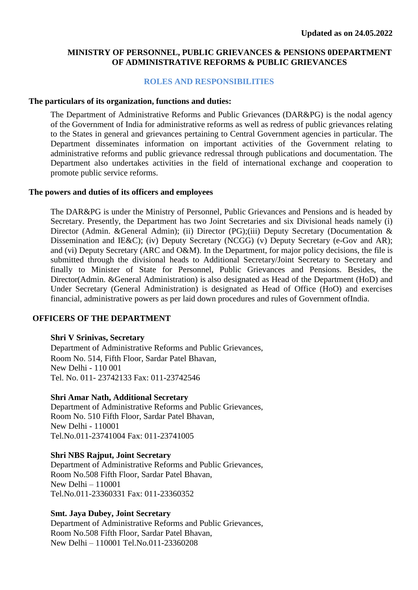#### **MINISTRY OF PERSONNEL, PUBLIC GRIEVANCES & PENSIONS 0DEPARTMENT OF ADMINISTRATIVE REFORMS & PUBLIC GRIEVANCES**

#### **ROLES AND RESPONSIBILITIES**

#### **The particulars of its organization, functions and duties:**

The Department of Administrative Reforms and Public Grievances (DAR&PG) is the nodal agency of the Government of India for administrative reforms as well as redress of public grievances relating to the States in general and grievances pertaining to Central Government agencies in particular. The Department disseminates information on important activities of the Government relating to administrative reforms and public grievance redressal through publications and documentation. The Department also undertakes activities in the field of international exchange and cooperation to promote public service reforms.

#### **The powers and duties of its officers and employees**

The DAR&PG is under the Ministry of Personnel, Public Grievances and Pensions and is headed by Secretary. Presently, the Department has two Joint Secretaries and six Divisional heads namely (i) Director (Admin. &General Admin); (ii) Director (PG);(iii) Deputy Secretary (Documentation & Dissemination and IE&C); (iv) Deputy Secretary (NCGG) (v) Deputy Secretary (e-Gov and AR); and (vi) Deputy Secretary (ARC and O&M). In the Department, for major policy decisions, the file is submitted through the divisional heads to Additional Secretary/Joint Secretary to Secretary and finally to Minister of State for Personnel, Public Grievances and Pensions. Besides, the Director(Admin. &General Administration) is also designated as Head of the Department (HoD) and Under Secretary (General Administration) is designated as Head of Office (HoO) and exercises financial, administrative powers as per laid down procedures and rules of Government ofIndia.

#### **OFFICERS OF THE DEPARTMENT**

#### **Shri V Srinivas, Secretary**

Department of Administrative Reforms and Public Grievances, Room No. 514, Fifth Floor, Sardar Patel Bhavan, New Delhi - 110 001 Tel. No. 011- 23742133 Fax: 011-23742546

#### **Shri Amar Nath, Additional Secretary**

Department of Administrative Reforms and Public Grievances, Room No. 510 Fifth Floor, Sardar Patel Bhavan, New Delhi - 110001 Tel.No.011-23741004 Fax: 011-23741005

#### **Shri NBS Rajput, Joint Secretary**

Department of Administrative Reforms and Public Grievances, Room No.508 Fifth Floor, Sardar Patel Bhavan, New Delhi – 110001 Tel.No.011-23360331 Fax: 011-23360352

#### **Smt. Jaya Dubey, Joint Secretary**

Department of Administrative Reforms and Public Grievances, Room No.508 Fifth Floor, Sardar Patel Bhavan, New Delhi – 110001 Tel.No.011-23360208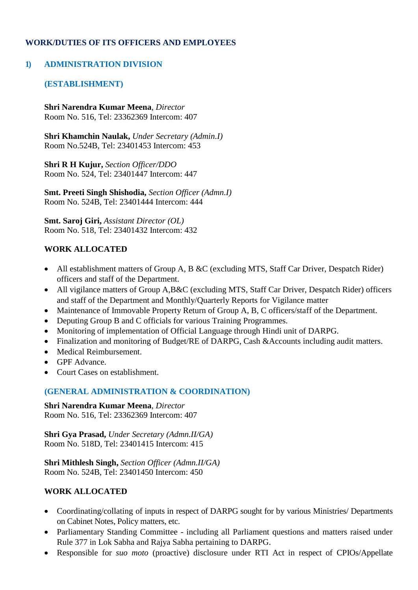## **WORK/DUTIES OF ITS OFFICERS AND EMPLOYEES**

### **1) ADMINISTRATION DIVISION**

## **(ESTABLISHMENT)**

**Shri Narendra Kumar Meena**, *Director* Room No. 516, Tel: 23362369 Intercom: 407

**Shri Khamchin Naulak,** *Under Secretary (Admin.I)* Room No.524B, Tel: 23401453 Intercom: 453

**Shri R H Kujur,** *Section Officer/DDO* Room No. 524, Tel: 23401447 Intercom: 447

**Smt. Preeti Singh Shishodia,** *Section Officer (Admn.I)* Room No. 524B, Tel: 23401444 Intercom: 444

**Smt. Saroj Giri,** *Assistant Director (OL)* Room No. 518, Tel: 23401432 Intercom: 432

### **WORK ALLOCATED**

- All establishment matters of Group A, B &C (excluding MTS, Staff Car Driver, Despatch Rider) officers and staff of the Department.
- All vigilance matters of Group A, B&C (excluding MTS, Staff Car Driver, Despatch Rider) officers and staff of the Department and Monthly/Quarterly Reports for Vigilance matter
- Maintenance of Immovable Property Return of Group A, B, C officers/staff of the Department.
- Deputing Group B and C officials for various Training Programmes.
- Monitoring of implementation of Official Language through Hindi unit of DARPG.
- Finalization and monitoring of Budget/RE of DARPG, Cash &Accounts including audit matters.
- Medical Reimbursement.
- GPF Advance.
- Court Cases on establishment.

### **(GENERAL ADMINISTRATION & COORDINATION)**

**Shri Narendra Kumar Meena**, *Director* Room No. 516, Tel: 23362369 Intercom: 407

**Shri Gya Prasad,** *Under Secretary (Admn.II/GA)* Room No. 518D, Tel: 23401415 Intercom: 415

**Shri Mithlesh Singh,** *Section Officer (Admn.II/GA)* Room No. 524B, Tel: 23401450 Intercom: 450

### **WORK ALLOCATED**

- Coordinating/collating of inputs in respect of DARPG sought for by various Ministries/ Departments on Cabinet Notes, Policy matters, etc.
- Parliamentary Standing Committee including all Parliament questions and matters raised under Rule 377 in Lok Sabha and Rajya Sabha pertaining to DARPG.
- Responsible for *suo moto* (proactive) disclosure under RTI Act in respect of CPIOs/Appellate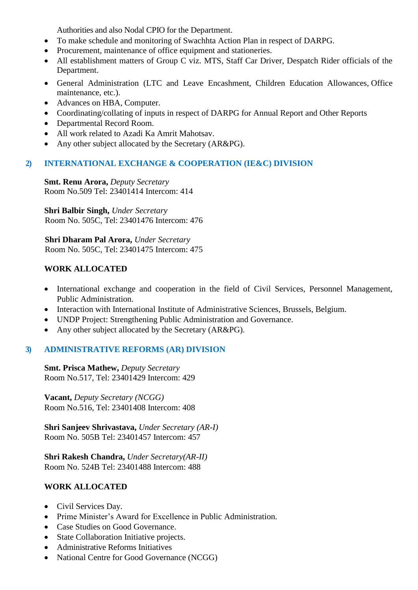Authorities and also Nodal CPIO for the Department.

- To make schedule and monitoring of Swachhta Action Plan in respect of DARPG.
- Procurement, maintenance of office equipment and stationeries.
- All establishment matters of Group C viz. MTS, Staff Car Driver, Despatch Rider officials of the Department.
- General Administration (LTC and Leave Encashment, Children Education Allowances, Office maintenance, etc.).
- Advances on HBA, Computer.
- Coordinating/collating of inputs in respect of DARPG for Annual Report and Other Reports
- Departmental Record Room.
- All work related to Azadi Ka Amrit Mahotsav.
- Any other subject allocated by the Secretary (AR&PG).

## **2) INTERNATIONAL EXCHANGE & COOPERATION (IE&C) DIVISION**

**Smt. Renu Arora,** *Deputy Secretary* Room No.509 Tel: 23401414 Intercom: 414

**Shri Balbir Singh,** *Under Secretary* Room No. 505C, Tel: 23401476 Intercom: 476

**Shri Dharam Pal Arora,** *Under Secretary*  Room No. 505C, Tel: 23401475 Intercom: 475

## **WORK ALLOCATED**

- International exchange and cooperation in the field of Civil Services, Personnel Management, Public Administration.
- Interaction with International Institute of Administrative Sciences, Brussels, Belgium.
- UNDP Project: Strengthening Public Administration and Governance.
- Any other subject allocated by the Secretary (AR&PG).

# **3) ADMINISTRATIVE REFORMS (AR) DIVISION**

**Smt. Prisca Mathew,** *Deputy Secretary* Room No.517, Tel: 23401429 Intercom: 429

**Vacant,** *Deputy Secretary (NCGG)* Room No.516, Tel: 23401408 Intercom: 408

**Shri Sanjeev Shrivastava,** *Under Secretary (AR-I)* Room No. 505B Tel: 23401457 Intercom: 457

**Shri Rakesh Chandra,** *Under Secretary(AR-II)* Room No. 524B Tel: 23401488 Intercom: 488

# **WORK ALLOCATED**

- Civil Services Day.
- Prime Minister's Award for Excellence in Public Administration.
- Case Studies on Good Governance.
- State Collaboration Initiative projects.
- Administrative Reforms Initiatives
- National Centre for Good Governance (NCGG)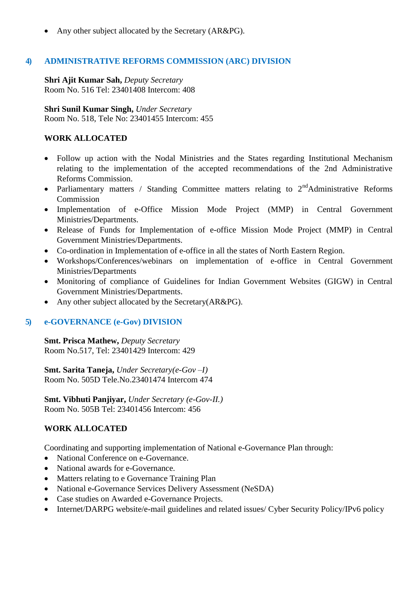• Any other subject allocated by the Secretary (AR&PG).

# **4) ADMINISTRATIVE REFORMS COMMISSION (ARC) DIVISION**

**Shri Ajit Kumar Sah,** *Deputy Secretary* Room No. 516 Tel: 23401408 Intercom: 408

**Shri Sunil Kumar Singh,** *Under Secretary* Room No. 518, Tele No: 23401455 Intercom: 455

# **WORK ALLOCATED**

- Follow up action with the Nodal Ministries and the States regarding Institutional Mechanism relating to the implementation of the accepted recommendations of the 2nd Administrative Reforms Commission.
- Parliamentary matters / Standing Committee matters relating to  $2<sup>nd</sup>$ Administrative Reforms Commission
- Implementation of e-Office Mission Mode Project (MMP) in Central Government Ministries/Departments.
- Release of Funds for Implementation of e-office Mission Mode Project (MMP) in Central Government Ministries/Departments.
- Co-ordination in Implementation of e-office in all the states of North Eastern Region.
- Workshops/Conferences/webinars on implementation of e-office in Central Government Ministries/Departments
- Monitoring of compliance of Guidelines for Indian Government Websites (GIGW) in Central Government Ministries/Departments.
- Any other subject allocated by the Secretary(AR&PG).

## **5) e-GOVERNANCE (e-Gov) DIVISION**

**Smt. Prisca Mathew,** *Deputy Secretary* Room No.517, Tel: 23401429 Intercom: 429

**Smt. Sarita Taneja,** *Under Secretary(e-Gov –I)* Room No. 505D Tele.No.23401474 Intercom 474

**Smt. Vibhuti Panjiyar,** *Under Secretary (e-Gov-II.)*  Room No. 505B Tel: 23401456 Intercom: 456

# **WORK ALLOCATED**

Coordinating and supporting implementation of National e-Governance Plan through:

- National Conference on e-Governance.
- National awards for e-Governance.
- Matters relating to e Governance Training Plan
- National e-Governance Services Delivery Assessment (NeSDA)
- Case studies on Awarded e-Governance Projects.
- Internet/DARPG website/e-mail guidelines and related issues/ Cyber Security Policy/IPv6 policy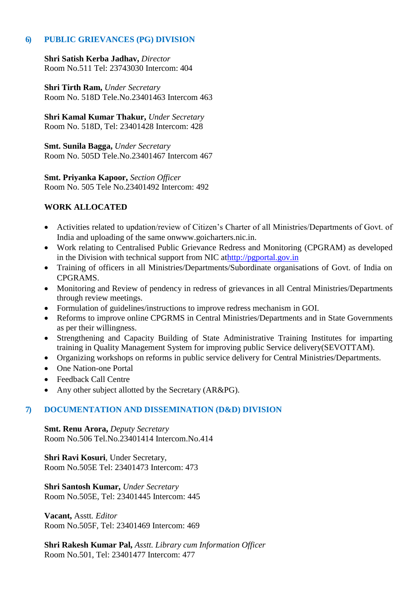#### **6) PUBLIC GRIEVANCES (PG) DIVISION**

**Shri Satish Kerba Jadhav,** *Director*  Room No.511 Tel: 23743030 Intercom: 404

**Shri Tirth Ram,** *Under Secretary* Room No. 518D Tele.No.23401463 Intercom 463

**Shri Kamal Kumar Thakur,** *Under Secretary* Room No. 518D, Tel: 23401428 Intercom: 428

**Smt. Sunila Bagga,** *Under Secretary* Room No. 505D Tele.No.23401467 Intercom 467

**Smt. Priyanka Kapoor,** *Section Officer* Room No. 505 Tele No.23401492 Intercom: 492

### **WORK ALLOCATED**

- Activities related to updation/review of Citizen's Charter of all Ministries/Departments of Govt. of India and uploading of the same o[nwww.goicharters.nic.in.](http://www.goicharters.nic.in/)
- Work relating to Centralised Public Grievance Redress and Monitoring (CPGRAM) as developed in the Division with technical support from NIC a[thttp://pgportal.gov.in](http://pgportal.gov.in/)
- Training of officers in all Ministries/Departments/Subordinate organisations of Govt. of India on CPGRAMS.
- Monitoring and Review of pendency in redress of grievances in all Central Ministries/Departments through review meetings.
- Formulation of guidelines/instructions to improve redress mechanism in GOI.
- Reforms to improve online CPGRMS in Central Ministries/Departments and in State Governments as per their willingness.
- Strengthening and Capacity Building of State Administrative Training Institutes for imparting training in Quality Management System for improving public Service delivery(SEVOTTAM).
- Organizing workshops on reforms in public service delivery for Central Ministries/Departments.
- One Nation-one Portal
- Feedback Call Centre
- Any other subject allotted by the Secretary (AR&PG).

### **7) DOCUMENTATION AND DISSEMINATION (D&D) DIVISION**

**Smt. Renu Arora,** *Deputy Secretary* Room No.506 Tel.No.23401414 Intercom.No.414

**Shri Ravi Kosuri**, Under Secretary, Room No.505E Tel: 23401473 Intercom: 473

**Shri Santosh Kumar,** *Under Secretary* Room No.505E, Tel: 23401445 Intercom: 445

**Vacant,** Asstt*. Editor*  Room No.505F, Tel: 23401469 Intercom: 469

**Shri Rakesh Kumar Pal,** *Asstt. Library cum Information Officer* Room No.501, Tel: 23401477 Intercom: 477